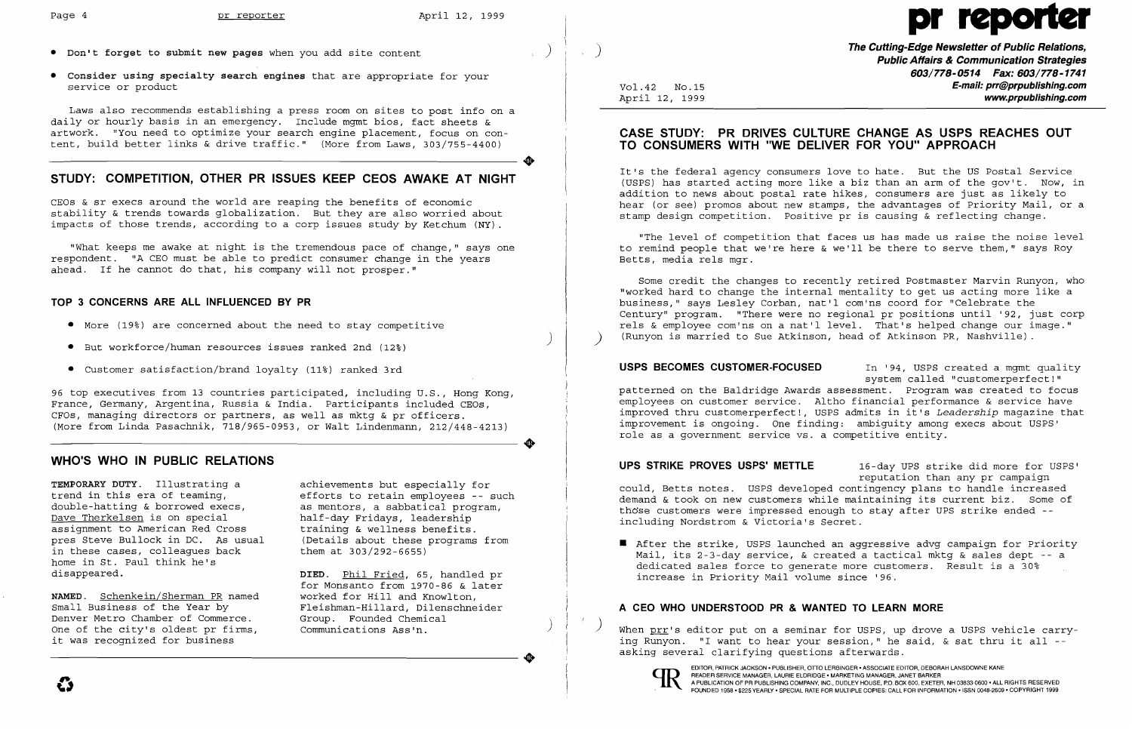- **• Don't forget to submit new pages** when you add site content
- **• Consider using specialty search engines** that are appropriate for your service or product

Laws also recommends establishing a press room on sites to post info on a daily or hourly basis in an emergency. Include mgmt bios, fact sheets & artwork. "You need to optimize your search engine placement, focus on content, build better links & drive traffic." (More from Laws, 303/755-4400)

## **STUDY: COMPETITION, OTHER PR ISSUES KEEP CEOS AWAKE AT NIGHT**

CEOs & sr execs around the world are reaping the benefits of economic stability & trends towards globalization. But they are also worried about impacts of those trends, according to a corp issues study by Ketchum (NY).

"What keeps me awake at night is the tremendous pace of change," says one respondent. "A CEO must be able to predict consumer change in the years ahead. If he cannot do that, his company will not prosper."

#### **TOP 3 CONCERNS ARE ALL INFLUENCED BY PR**

- More (19%) are concerned about the need to stay competitive
- But workforce/human resources issues ranked 2nd (12%)
- Customer satisfaction/brand loyalty (11%) ranked 3rd

**The Cutting-Edge Newsletter of Public Relations, Public Affairs & Communication Strategies 603/778-0514 Fax: 603/778-1741 E-mail: prr@prpublishing.com**  www.prpublishing.com

96 top executives from 13 countries participated, including U.S., Hong Kong, France, Germany, Argentina, Russia & India. Participants included CEOs, CFOs, managing directors or partners, as well as mktg & pr officers. (More from Linda Pasachnik, 718/965-0953, or Walt Lindenmann, 212/448-4213)

#### **WHO'S WHO IN PUBLIC RELATIONS**

**TEMPORARY DUTY.** Illustrating a trend in this era of teaming, double-hatting & borrowed execs, Dave Therkelsen is on special assignment to American Red Cross pres Steve Bullock in DC. As usual in these cases, colleagues back home in St. Paul think he's disappeared.

**NAMED.** Schenkein/Sherman PR named Small Business of the Year by Denver Metro Chamber of Commerce. One of the city's oldest pr firms, it was recognized for business

achievements but especially for efforts to retain employees -- such as mentors, a sabbatical program, half-day Fridays, leadership training & wellness benefits. (Details about these programs from them at 303/292-6655)

**USPS BECOMES CUSTOMER-FOCUSED** In '94, USPS created a mgmt quality system called "customerperfect!" patterned on the Baldridge Awards assessment. Program was created to focus employees on customer service. Altho financial performance & service have improved thru customerperfect!, USPS admits in it's *Leadership* magazine that improvement is ongoing. One finding: ambiguity among execs about USPS' role as a government service vs. a competitive entity .

**DIED.** Phil Fried, 65, handled pr for Monsanto from 1970-86 & later worked for Hill and Knowlton, Fleishman-Hillard, Dilenschneider Group. Founded Chemical Communications Ass'n.

**•** After the strike, USPS launched an aggressive advg campaign for Priority Mail, its 2-3-day service, & created a tactical mktg & sales dept -- <sup>a</sup> dedicated sales force to generate more customers. Result is a 30%

)

)<br>)<br>)<br>)

..

)

..

)

..

Vol.42 NO.15 April 12, 1999

When prr's editor put on a seminar for USPS, up drove a USPS vehicle carrying Runyon. "I want to hear your session," he said, & sat thru it all asking several clarifying questions afterwards .



## **CASE STUDY: PR DRIVES CULTURE CHANGE AS USPS REACHES OUT TO CONSUMERS WITH "WE DELIVER FOR YOU" APPROACH**

It's the federal agency consumers love to hate. But the US Postal Service (USPS) has started acting more like a biz than an arm of the gov't. Now, in addition to news about postal rate hikes, consumers are just as likely to hear (or see) promos about new stamps, the advantages of Priority Mail, or a stamp design competition. positive pr is causing & reflecting change.

"The level of competition that faces us has made us raise the noise level to remind people that we're here & we'll be there to serve them," says Roy Betts, media rels mgr.

Some credit the changes to recently retired Postmaster Marvin Runyon, who "worked hard to change the internal mentality to get us acting more like a business," says Lesley Corban, nat'l com'ns coord for "Celebrate the Century" program. "There were no regional pr positions until '92, just corp rels & employee com'ns on a nat'l level. That's helped change our image." ) (Runyon is married to Sue Atkinson, head of Atkinson PR, Nashville).

**UPS STRIKE PROVES USPS' METTLE** 16-day UPS strike did more for USPS' reputation than any pr campaign could, Betts notes. USPS developed contingency plans to handle increased demand & took on new customers while maintaining its current biz. Some of those customers were impressed enough to stay after UPS strike ended -including Nordstrom & Victoria's Secret.

increase in Priority Mail volume since '96.

## **A CEO WHO UNDERSTOOD PR & WANTED TO LEARN MORE**

EDITOR, PATRICK JACKSON· PUBLISHER, OTTO LERBINGER • ASSOCIATE EDITOR, DEBORAH LANSDOWNE KANE READER SERVICE MANAGER, LAURIE ELDRIDGE' MARKETING MANAGER, JANET BARKER

# Page 4 pr reporter  $\sum_{i=1}^{n}$  April 12, 1999